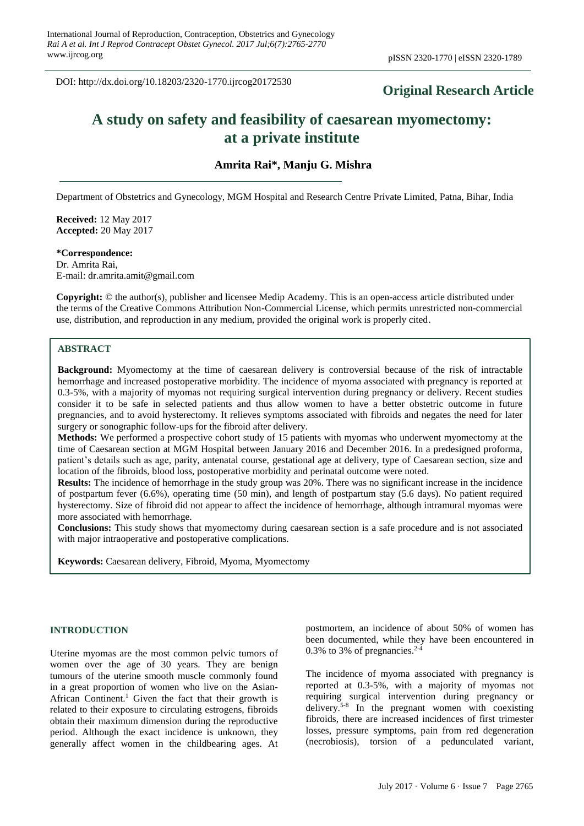DOI: http://dx.doi.org/10.18203/2320-1770.ijrcog20172530

# **Original Research Article**

# **A study on safety and feasibility of caesarean myomectomy: at a private institute**

**Amrita Rai\*, Manju G. Mishra**

Department of Obstetrics and Gynecology, MGM Hospital and Research Centre Private Limited, Patna, Bihar, India

**Received:** 12 May 2017 **Accepted:** 20 May 2017

#### **\*Correspondence:**

Dr. Amrita Rai, E-mail: dr.amrita.amit@gmail.com

**Copyright:** © the author(s), publisher and licensee Medip Academy. This is an open-access article distributed under the terms of the Creative Commons Attribution Non-Commercial License, which permits unrestricted non-commercial use, distribution, and reproduction in any medium, provided the original work is properly cited.

# **ABSTRACT**

**Background:** Myomectomy at the time of caesarean delivery is controversial because of the risk of intractable hemorrhage and increased postoperative morbidity. The incidence of myoma associated with pregnancy is reported at 0.3-5%, with a majority of myomas not requiring surgical intervention during pregnancy or delivery. Recent studies consider it to be safe in selected patients and thus allow women to have a better obstetric outcome in future pregnancies, and to avoid hysterectomy. It relieves symptoms associated with fibroids and negates the need for later surgery or sonographic follow-ups for the fibroid after delivery.

**Methods:** We performed a prospective cohort study of 15 patients with myomas who underwent myomectomy at the time of Caesarean section at MGM Hospital between January 2016 and December 2016. In a predesigned proforma, patient's details such as age, parity, antenatal course, gestational age at delivery, type of Caesarean section, size and location of the fibroids, blood loss, postoperative morbidity and perinatal outcome were noted.

**Results:** The incidence of hemorrhage in the study group was 20%. There was no significant increase in the incidence of postpartum fever (6.6%), operating time (50 min), and length of postpartum stay (5.6 days). No patient required hysterectomy. Size of fibroid did not appear to affect the incidence of hemorrhage, although intramural myomas were more associated with hemorrhage.

**Conclusions:** This study shows that myomectomy during caesarean section is a safe procedure and is not associated with major intraoperative and postoperative complications.

**Keywords:** Caesarean delivery, Fibroid, Myoma, Myomectomy

#### **INTRODUCTION**

Uterine myomas are the most common pelvic tumors of women over the age of 30 years. They are benign tumours of the uterine smooth muscle commonly found in a great proportion of women who live on the Asian-African Continent.<sup>1</sup> Given the fact that their growth is related to their exposure to circulating estrogens, fibroids obtain their maximum dimension during the reproductive period. Although the exact incidence is unknown, they generally affect women in the childbearing ages. At postmortem, an incidence of about 50% of women has been documented, while they have been encountered in 0.3% to 3% of pregnancies. $2-4$ 

The incidence of myoma associated with pregnancy is reported at 0.3-5%, with a majority of myomas not requiring surgical intervention during pregnancy or delivery.<sup>5-8</sup> In the pregnant women with coexisting fibroids, there are increased incidences of first trimester losses, pressure symptoms, pain from red degeneration (necrobiosis), torsion of a pedunculated variant,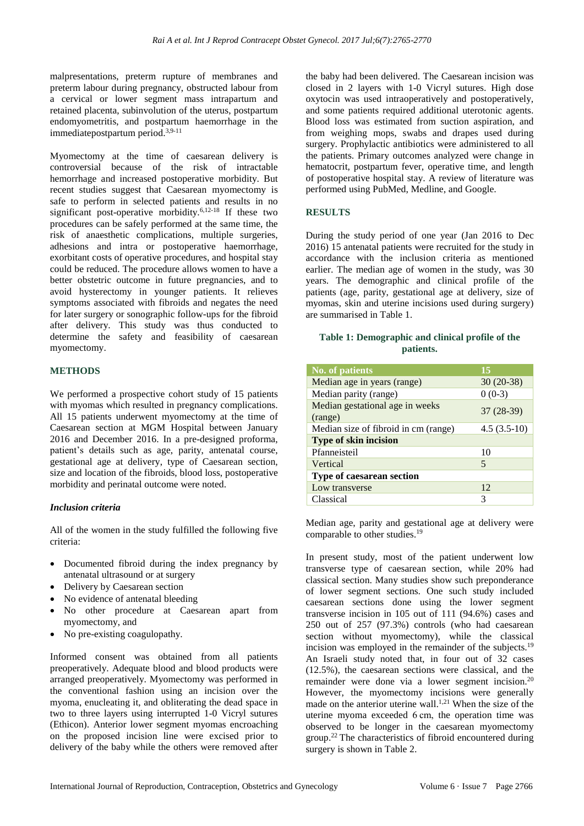malpresentations, preterm rupture of membranes and preterm labour during pregnancy, obstructed labour from a cervical or lower segment mass intrapartum and retained placenta, subinvolution of the uterus, postpartum endomyometritis, and postpartum haemorrhage in the immediatepostpartum period.3,9-11

Myomectomy at the time of caesarean delivery is controversial because of the risk of intractable hemorrhage and increased postoperative morbidity. But recent studies suggest that Caesarean myomectomy is safe to perform in selected patients and results in no significant post-operative morbidity.<sup>6,12-18</sup> If these two procedures can be safely performed at the same time, the risk of anaesthetic complications, multiple surgeries, adhesions and intra or postoperative haemorrhage, exorbitant costs of operative procedures, and hospital stay could be reduced. The procedure allows women to have a better obstetric outcome in future pregnancies, and to avoid hysterectomy in younger patients. It relieves symptoms associated with fibroids and negates the need for later surgery or sonographic follow-ups for the fibroid after delivery. This study was thus conducted to determine the safety and feasibility of caesarean myomectomy.

# **METHODS**

We performed a prospective cohort study of 15 patients with myomas which resulted in pregnancy complications. All 15 patients underwent myomectomy at the time of Caesarean section at MGM Hospital between January 2016 and December 2016. In a pre-designed proforma, patient's details such as age, parity, antenatal course, gestational age at delivery, type of Caesarean section, size and location of the fibroids, blood loss, postoperative morbidity and perinatal outcome were noted.

# *Inclusion criteria*

All of the women in the study fulfilled the following five criteria:

- Documented fibroid during the index pregnancy by antenatal ultrasound or at surgery
- Delivery by Caesarean section
- No evidence of antenatal bleeding
- No other procedure at Caesarean apart from myomectomy, and
- No pre-existing coagulopathy.

Informed consent was obtained from all patients preoperatively. Adequate blood and blood products were arranged preoperatively. Myomectomy was performed in the conventional fashion using an incision over the myoma, enucleating it, and obliterating the dead space in two to three layers using interrupted 1-0 Vicryl sutures (Ethicon). Anterior lower segment myomas encroaching on the proposed incision line were excised prior to delivery of the baby while the others were removed after the baby had been delivered. The Caesarean incision was closed in 2 layers with 1-0 Vicryl sutures. High dose oxytocin was used intraoperatively and postoperatively, and some patients required additional uterotonic agents. Blood loss was estimated from suction aspiration, and from weighing mops, swabs and drapes used during surgery. Prophylactic antibiotics were administered to all the patients. Primary outcomes analyzed were change in hematocrit, postpartum fever, operative time, and length of postoperative hospital stay. A review of literature was performed using PubMed, Medline, and Google.

# **RESULTS**

During the study period of one year (Jan 2016 to Dec 2016) 15 antenatal patients were recruited for the study in accordance with the inclusion criteria as mentioned earlier. The median age of women in the study, was 30 years. The demographic and clinical profile of the patients (age, parity, gestational age at delivery, size of myomas, skin and uterine incisions used during surgery) are summarised in Table 1.

# **Table 1: Demographic and clinical profile of the patients.**

| <b>No. of patients</b>                     | 15            |
|--------------------------------------------|---------------|
| Median age in years (range)                | $30(20-38)$   |
| Median parity (range)                      | $0(0-3)$      |
| Median gestational age in weeks<br>(range) | 37 (28-39)    |
| Median size of fibroid in cm (range)       | $4.5(3.5-10)$ |
| <b>Type of skin incision</b>               |               |
| Pfanneisteil                               | 10            |
| Vertical                                   | 5             |
| Type of caesarean section                  |               |
| Low transverse                             | 12            |
| Classical                                  | 3             |

Median age, parity and gestational age at delivery were comparable to other studies.<sup>19</sup>

In present study, most of the patient underwent low transverse type of caesarean section, while 20% had classical section. Many studies show such preponderance of lower segment sections. One such study included caesarean sections done using the lower segment transverse incision in 105 out of 111 (94.6%) cases and 250 out of 257 (97.3%) controls (who had caesarean section without myomectomy), while the classical incision was employed in the remainder of the subjects.<sup>19</sup> An Israeli study noted that, in four out of 32 cases (12.5%), the caesarean sections were classical, and the remainder were done via a lower segment incision.<sup>20</sup> However, the myomectomy incisions were generally made on the anterior uterine wall.<sup>1,21</sup> When the size of the uterine myoma exceeded 6 cm, the operation time was observed to be longer in the caesarean myomectomy group. <sup>22</sup> The characteristics of fibroid encountered during surgery is shown in Table 2.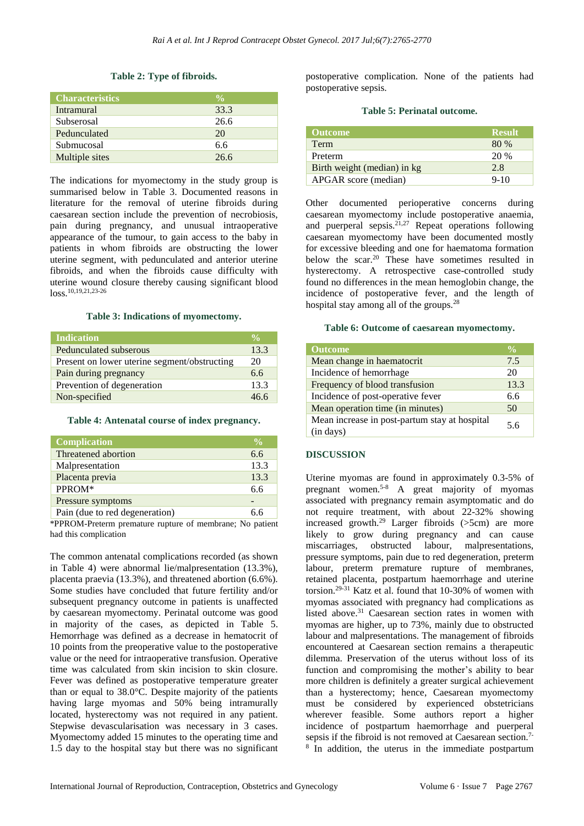# **Table 2: Type of fibroids.**

| <b>Characteristics</b> | $\frac{0}{0}$ |
|------------------------|---------------|
| Intramural             | 33.3          |
| Subserosal             | 26.6          |
| Pedunculated           | 20            |
| Submucosal             | 6.6           |
| Multiple sites         | 266           |

The indications for myomectomy in the study group is summarised below in Table 3. Documented reasons in literature for the removal of uterine fibroids during caesarean section include the prevention of necrobiosis, pain during pregnancy, and unusual intraoperative appearance of the tumour, to gain access to the baby in patients in whom fibroids are obstructing the lower uterine segment, with pedunculated and anterior uterine fibroids, and when the fibroids cause difficulty with uterine wound closure thereby causing significant blood  $\log$  10,19,21,23-26

#### **Table 3: Indications of myomectomy.**

| <b>Indication</b>                            | $\frac{0}{2}$ |
|----------------------------------------------|---------------|
| Pedunculated subserous                       | 13.3          |
| Present on lower uterine segment/obstructing | 20            |
| Pain during pregnancy                        | 6.6           |
| Prevention of degeneration                   | 13.3          |
| Non-specified                                | 46.6          |

#### **Table 4: Antenatal course of index pregnancy.**

| <b>Complication</b>            | $\frac{0}{0}$ |
|--------------------------------|---------------|
| Threatened abortion            | 6.6           |
| Malpresentation                | 13.3          |
| Placenta previa                | 13.3          |
| PPROM*                         | 6.6           |
| Pressure symptoms              |               |
| Pain (due to red degeneration) | 6 ճ           |

\*PPROM-Preterm premature rupture of membrane; No patient had this complication

The common antenatal complications recorded (as shown in Table 4) were abnormal lie/malpresentation (13.3%), placenta praevia (13.3%), and threatened abortion (6.6%). Some studies have concluded that future fertility and/or subsequent pregnancy outcome in patients is unaffected by caesarean myomectomy. Perinatal outcome was good in majority of the cases, as depicted in Table 5. Hemorrhage was defined as a decrease in hematocrit of 10 points from the preoperative value to the postoperative value or the need for intraoperative transfusion. Operative time was calculated from skin incision to skin closure. Fever was defined as postoperative temperature greater than or equal to 38.0°C. Despite majority of the patients having large myomas and 50% being intramurally located, hysterectomy was not required in any patient. Stepwise devascularisation was necessary in 3 cases. Myomectomy added 15 minutes to the operating time and 1.5 day to the hospital stay but there was no significant postoperative complication. None of the patients had postoperative sepsis.

#### **Table 5: Perinatal outcome.**

| <b>Outcome</b>              | <b>Result</b> |
|-----------------------------|---------------|
| Term                        | 80 %          |
| Preterm                     | 20%           |
| Birth weight (median) in kg | 2.8           |
| APGAR score (median)        | $9-10$        |

Other documented perioperative concerns during caesarean myomectomy include postoperative anaemia, and puerperal sepsis. $21,27$  Repeat operations following caesarean myomectomy have been documented mostly for excessive bleeding and one for haematoma formation below the scar.<sup>20</sup> These have sometimes resulted in hysterectomy. A retrospective case-controlled study found no differences in the mean hemoglobin change, the incidence of postoperative fever, and the length of hospital stay among all of the groups.<sup>28</sup>

# **Table 6: Outcome of caesarean myomectomy.**

| <b>Outcome</b>                                             | $\frac{0}{0}$ |
|------------------------------------------------------------|---------------|
| Mean change in haematocrit                                 | 7.5           |
| Incidence of hemorrhage                                    | 20            |
| Frequency of blood transfusion                             | 13.3          |
| Incidence of post-operative fever                          | 6.6           |
| Mean operation time (in minutes)                           | 50            |
| Mean increase in post-partum stay at hospital<br>(in days) | 56            |

# **DISCUSSION**

Uterine myomas are found in approximately 0.3-5% of pregnant women.<sup>5-8</sup> A great majority of myomas associated with pregnancy remain asymptomatic and do not require treatment, with about 22-32% showing increased growth.<sup>29</sup> Larger fibroids ( $>5$ cm) are more likely to grow during pregnancy and can cause miscarriages, obstructed labour, malpresentations, pressure symptoms, pain due to red degeneration, preterm labour, preterm premature rupture of membranes, retained placenta, postpartum haemorrhage and uterine torsion.29-31 Katz et al. found that 10-30% of women with myomas associated with pregnancy had complications as listed above.<sup>31</sup> Caesarean section rates in women with myomas are higher, up to 73%, mainly due to obstructed labour and malpresentations. The management of fibroids encountered at Caesarean section remains a therapeutic dilemma. Preservation of the uterus without loss of its function and compromising the mother's ability to bear more children is definitely a greater surgical achievement than a hysterectomy; hence, Caesarean myomectomy must be considered by experienced obstetricians wherever feasible. Some authors report a higher incidence of postpartum haemorrhage and puerperal sepsis if the fibroid is not removed at Caesarean section.<sup>7-</sup> 8 In addition, the uterus in the immediate postpartum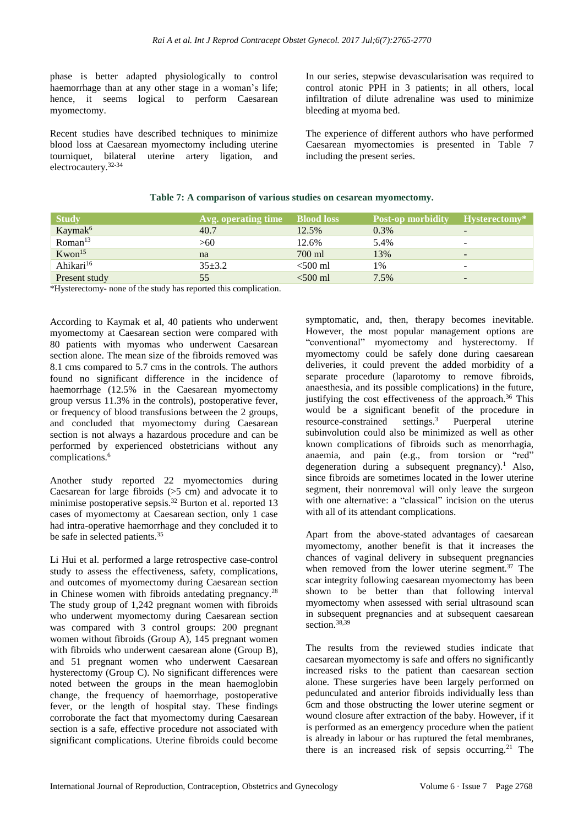phase is better adapted physiologically to control haemorrhage than at any other stage in a woman's life; hence, it seems logical to perform Caesarean myomectomy.

Recent studies have described techniques to minimize blood loss at Caesarean myomectomy including uterine tourniquet, bilateral uterine artery ligation, and electrocautery.32-34

In our series, stepwise devascularisation was required to control atonic PPH in 3 patients; in all others, local infiltration of dilute adrenaline was used to minimize bleeding at myoma bed.

The experience of different authors who have performed Caesarean myomectomies is presented in Table 7 including the present series.

| <b>Study</b>          | Avg. operating time Blood loss |            | <b>Post-op morbidity</b> | Hysterectomy*            |
|-----------------------|--------------------------------|------------|--------------------------|--------------------------|
| Kaymak <sup>6</sup>   | 40.7                           | 12.5%      | $0.3\%$                  | -                        |
| Roman <sup>13</sup>   | >60                            | 12.6%      | 5.4%                     |                          |
| $K$ won $15$          | na                             | 700 ml     | 13%                      | $\overline{\phantom{0}}$ |
| Ahikari <sup>16</sup> | $35+3.2$                       | $< 500$ ml | 1%                       |                          |
| Present study         | 55.                            | $<$ 500 ml | 7.5%                     | $\overline{\phantom{0}}$ |

# **Table 7: A comparison of various studies on cesarean myomectomy.**

\*Hysterectomy- none of the study has reported this complication.

According to Kaymak et al, 40 patients who underwent myomectomy at Caesarean section were compared with 80 patients with myomas who underwent Caesarean section alone. The mean size of the fibroids removed was 8.1 cms compared to 5.7 cms in the controls. The authors found no significant difference in the incidence of haemorrhage (12.5% in the Caesarean myomectomy group versus 11.3% in the controls), postoperative fever, or frequency of blood transfusions between the 2 groups, and concluded that myomectomy during Caesarean section is not always a hazardous procedure and can be performed by experienced obstetricians without any complications. $6$ 

Another study reported 22 myomectomies during Caesarean for large fibroids (>5 cm) and advocate it to minimise postoperative sepsis.<sup>32</sup> Burton et al. reported 13 cases of myomectomy at Caesarean section, only 1 case had intra-operative haemorrhage and they concluded it to be safe in selected patients.<sup>35</sup>

Li Hui et al. performed a large retrospective case-control study to assess the effectiveness, safety, complications, and outcomes of myomectomy during Caesarean section in Chinese women with fibroids antedating pregnancy.<sup>28</sup> The study group of 1,242 pregnant women with fibroids who underwent myomectomy during Caesarean section was compared with 3 control groups: 200 pregnant women without fibroids (Group A), 145 pregnant women with fibroids who underwent caesarean alone (Group B). and 51 pregnant women who underwent Caesarean hysterectomy (Group C). No significant differences were noted between the groups in the mean haemoglobin change, the frequency of haemorrhage, postoperative fever, or the length of hospital stay. These findings corroborate the fact that myomectomy during Caesarean section is a safe, effective procedure not associated with significant complications. Uterine fibroids could become symptomatic, and, then, therapy becomes inevitable. However, the most popular management options are "conventional" myomectomy and hysterectomy. If myomectomy could be safely done during caesarean deliveries, it could prevent the added morbidity of a separate procedure (laparotomy to remove fibroids, anaesthesia, and its possible complications) in the future, justifying the cost effectiveness of the approach.<sup>36</sup> This would be a significant benefit of the procedure in resource-constrained settings.<sup>3</sup> Puerperal uterine subinvolution could also be minimized as well as other known complications of fibroids such as menorrhagia, anaemia, and pain (e.g., from torsion or "red" degeneration during a subsequent pregnancy).<sup>1</sup> Also, since fibroids are sometimes located in the lower uterine segment, their nonremoval will only leave the surgeon with one alternative: a "classical" incision on the uterus with all of its attendant complications.

Apart from the above-stated advantages of caesarean myomectomy, another benefit is that it increases the chances of vaginal delivery in subsequent pregnancies when removed from the lower uterine segment.<sup>37</sup> The scar integrity following caesarean myomectomy has been shown to be better than that following interval myomectomy when assessed with serial ultrasound scan in subsequent pregnancies and at subsequent caesarean section.<sup>38,39</sup>

The results from the reviewed studies indicate that caesarean myomectomy is safe and offers no significantly increased risks to the patient than caesarean section alone. These surgeries have been largely performed on pedunculated and anterior fibroids individually less than 6cm and those obstructing the lower uterine segment or wound closure after extraction of the baby. However, if it is performed as an emergency procedure when the patient is already in labour or has ruptured the fetal membranes, there is an increased risk of sepsis occurring.<sup>21</sup> The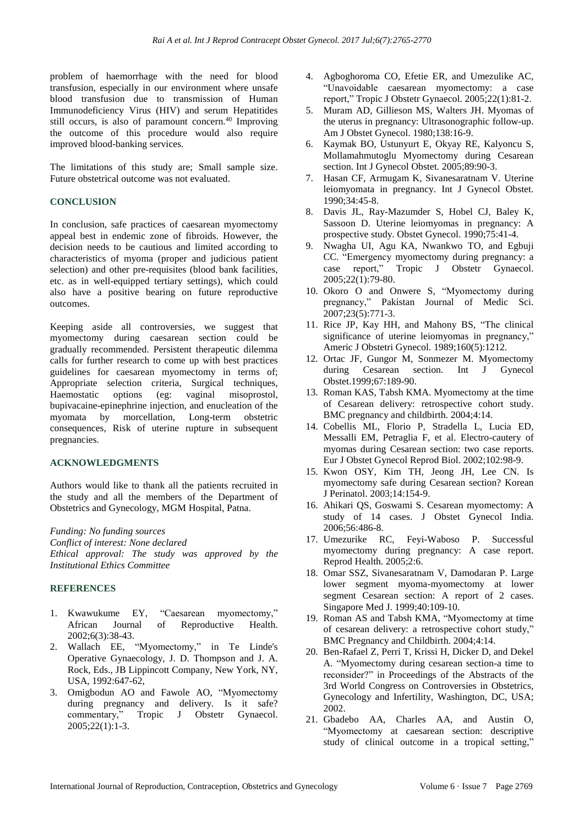problem of haemorrhage with the need for blood transfusion, especially in our environment where unsafe blood transfusion due to transmission of Human Immunodeficiency Virus (HIV) and serum Hepatitides still occurs, is also of paramount concern.<sup>40</sup> Improving the outcome of this procedure would also require improved blood-banking services.

The limitations of this study are; Small sample size. Future obstetrical outcome was not evaluated.

# **CONCLUSION**

In conclusion, safe practices of caesarean myomectomy appeal best in endemic zone of fibroids. However, the decision needs to be cautious and limited according to characteristics of myoma (proper and judicious patient selection) and other pre-requisites (blood bank facilities, etc. as in well-equipped tertiary settings), which could also have a positive bearing on future reproductive outcomes.

Keeping aside all controversies, we suggest that myomectomy during caesarean section could be gradually recommended. Persistent therapeutic dilemma calls for further research to come up with best practices guidelines for caesarean myomectomy in terms of; Appropriate selection criteria, Surgical techniques, Haemostatic options (eg: vaginal misoprostol, bupivacaine-epinephrine injection, and enucleation of the myomata by morcellation, Long-term obstetric consequences, Risk of uterine rupture in subsequent pregnancies.

# **ACKNOWLEDGMENTS**

Authors would like to thank all the patients recruited in the study and all the members of the Department of Obstetrics and Gynecology, MGM Hospital, Patna.

*Funding: No funding sources*

*Conflict of interest: None declared Ethical approval: The study was approved by the Institutional Ethics Committee*

# **REFERENCES**

- 1. Kwawukume EY, "Caesarean myomectomy," African Journal of Reproductive Health. 2002;6(3):38-43.
- 2. Wallach EE, "Myomectomy," in Te Linde's Operative Gynaecology, J. D. Thompson and J. A. Rock, Eds., JB Lippincott Company, New York, NY, USA, 1992:647-62,
- 3. Omigbodun AO and Fawole AO, "Myomectomy during pregnancy and delivery. Is it safe? commentary," Tropic J Obstetr Gynaecol. 2005;22(1):1-3.
- 4. Agboghoroma CO, Efetie ER, and Umezulike AC, "Unavoidable caesarean myomectomy: a case report," Tropic J Obstetr Gynaecol. 2005;22(1):81-2.
- 5. Muram AD, Gillieson MS, Walters JH. Myomas of the uterus in pregnancy: Ultrasonographic follow-up. Am J Obstet Gynecol. 1980;138:16-9.
- 6. Kaymak BO, Ustunyurt E, Okyay RE, Kalyoncu S, Mollamahmutoglu Myomectomy during Cesarean section. Int J Gynecol Obstet. 2005;89:90-3.
- 7. Hasan CF, Armugam K, Sivanesaratnam V. Uterine leiomyomata in pregnancy. Int J Gynecol Obstet. 1990;34:45-8.
- 8. Davis JL, Ray-Mazumder S, Hobel CJ, Baley K, Sassoon D. Uterine leiomyomas in pregnancy: A prospective study. Obstet Gynecol. 1990;75:41-4.
- 9. Nwagha UI, Agu KA, Nwankwo TO, and Egbuji CC. "Emergency myomectomy during pregnancy: a case report," Tropic J Obstetr Gynaecol. 2005;22(1):79-80.
- 10. Okoro O and Onwere S, "Myomectomy during pregnancy," Pakistan Journal of Medic Sci. 2007;23(5):771-3.
- 11. Rice JP, Kay HH, and Mahony BS, "The clinical significance of uterine leiomyomas in pregnancy," Americ J Obstetri Gynecol. 1989;160(5):1212.
- 12. Ortac JF, Gungor M, Sonmezer M. Myomectomy during Cesarean section. Int J Gynecol Obstet.1999;67:189-90.
- 13. Roman KAS, Tabsh KMA. Myomectomy at the time of Cesarean delivery: retrospective cohort study. BMC pregnancy and childbirth. 2004;4:14.
- 14. Cobellis ML, Florio P, Stradella L, Lucia ED, Messalli EM, Petraglia F, et al. Electro-cautery of myomas during Cesarean section: two case reports. Eur J Obstet Gynecol Reprod Biol. 2002;102:98-9.
- 15. Kwon OSY, Kim TH, Jeong JH, Lee CN. Is myomectomy safe during Cesarean section? Korean J Perinatol. 2003;14:154-9.
- 16. Ahikari QS, Goswami S. Cesarean myomectomy: A study of 14 cases. J Obstet Gynecol India. 2006;56:486-8.
- 17. Umezurike RC, Feyi-Waboso P. Successful myomectomy during pregnancy: A case report. Reprod Health. 2005;2:6.
- 18. Omar SSZ, Sivanesaratnam V, Damodaran P. Large lower segment myoma-myomectomy at lower segment Cesarean section: A report of 2 cases. Singapore Med J. 1999;40:109-10.
- 19. Roman AS and Tabsh KMA, "Myomectomy at time of cesarean delivery: a retrospective cohort study," BMC Pregnancy and Childbirth. 2004;4:14.
- 20. Ben-Rafael Z, Perri T, Krissi H, Dicker D, and Dekel A. "Myomectomy during cesarean section-a time to reconsider?" in Proceedings of the Abstracts of the 3rd World Congress on Controversies in Obstetrics, Gynecology and Infertility, Washington, DC, USA; 2002.
- 21. Gbadebo AA, Charles AA, and Austin O, "Myomectomy at caesarean section: descriptive study of clinical outcome in a tropical setting,"